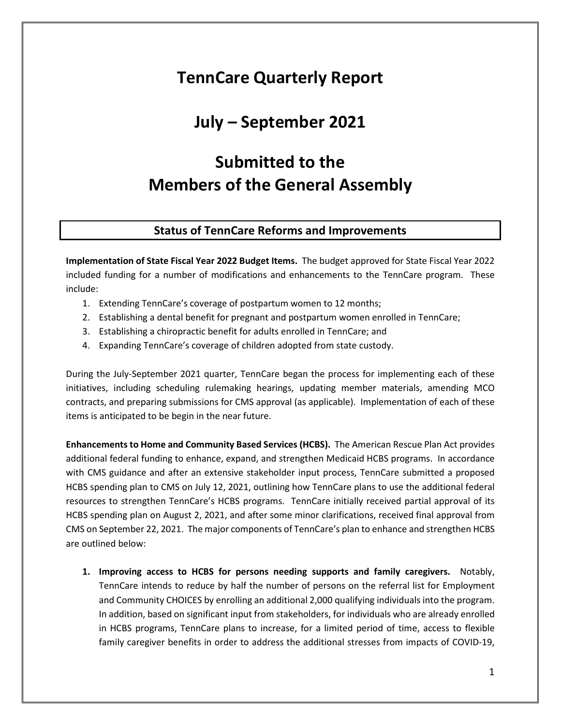# **TennCare Quarterly Report**

## **July – September 2021**

# **Submitted to the Members of the General Assembly**

## **Status of TennCare Reforms and Improvements**

**Implementation of State Fiscal Year 2022 Budget Items.** The budget approved for State Fiscal Year 2022 included funding for a number of modifications and enhancements to the TennCare program. These include:

- 1. Extending TennCare's coverage of postpartum women to 12 months;
- 2. Establishing a dental benefit for pregnant and postpartum women enrolled in TennCare;
- 3. Establishing a chiropractic benefit for adults enrolled in TennCare; and
- 4. Expanding TennCare's coverage of children adopted from state custody.

During the July-September 2021 quarter, TennCare began the process for implementing each of these initiatives, including scheduling rulemaking hearings, updating member materials, amending MCO contracts, and preparing submissions for CMS approval (as applicable). Implementation of each of these items is anticipated to be begin in the near future.

**Enhancements to Home and Community Based Services (HCBS).** The American Rescue Plan Act provides additional federal funding to enhance, expand, and strengthen Medicaid HCBS programs. In accordance with CMS guidance and after an extensive stakeholder input process, TennCare submitted a proposed HCBS spending plan to CMS on July 12, 2021, outlining how TennCare plans to use the additional federal resources to strengthen TennCare's HCBS programs. TennCare initially received partial approval of its HCBS spending plan on August 2, 2021, and after some minor clarifications, received final approval from CMS on September 22, 2021. The major components of TennCare's plan to enhance and strengthen HCBS are outlined below:

**1. Improving access to HCBS for persons needing supports and family caregivers.** Notably, TennCare intends to reduce by half the number of persons on the referral list for Employment and Community CHOICES by enrolling an additional 2,000 qualifying individuals into the program. In addition, based on significant input from stakeholders, for individuals who are already enrolled in HCBS programs, TennCare plans to increase, for a limited period of time, access to flexible family caregiver benefits in order to address the additional stresses from impacts of COVID-19,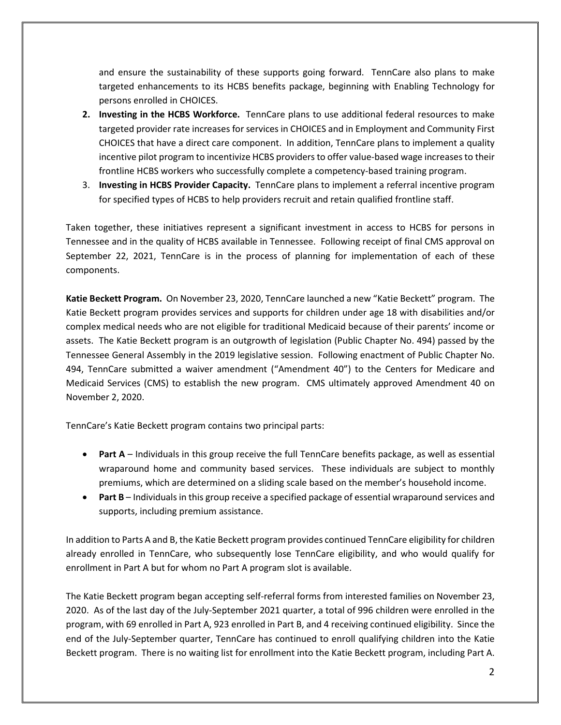and ensure the sustainability of these supports going forward. TennCare also plans to make targeted enhancements to its HCBS benefits package, beginning with Enabling Technology for persons enrolled in CHOICES.

- **2. Investing in the HCBS Workforce.** TennCare plans to use additional federal resources to make targeted provider rate increases for services in CHOICES and in Employment and Community First CHOICES that have a direct care component. In addition, TennCare plans to implement a quality incentive pilot program to incentivize HCBS providers to offer value-based wage increases to their frontline HCBS workers who successfully complete a competency-based training program.
- 3. **Investing in HCBS Provider Capacity.** TennCare plans to implement a referral incentive program for specified types of HCBS to help providers recruit and retain qualified frontline staff.

Taken together, these initiatives represent a significant investment in access to HCBS for persons in Tennessee and in the quality of HCBS available in Tennessee. Following receipt of final CMS approval on September 22, 2021, TennCare is in the process of planning for implementation of each of these components.

**Katie Beckett Program.** On November 23, 2020, TennCare launched a new "Katie Beckett" program. The Katie Beckett program provides services and supports for children under age 18 with disabilities and/or complex medical needs who are not eligible for traditional Medicaid because of their parents' income or assets. The Katie Beckett program is an outgrowth of legislation (Public Chapter No. 494) passed by the Tennessee General Assembly in the 2019 legislative session. Following enactment of Public Chapter No. 494, TennCare submitted a waiver amendment ("Amendment 40") to the Centers for Medicare and Medicaid Services (CMS) to establish the new program. CMS ultimately approved Amendment 40 on November 2, 2020.

TennCare's Katie Beckett program contains two principal parts:

- **Part A** Individuals in this group receive the full TennCare benefits package, as well as essential wraparound home and community based services. These individuals are subject to monthly premiums, which are determined on a sliding scale based on the member's household income.
- **Part B** Individuals in this group receive a specified package of essential wraparound services and supports, including premium assistance.

In addition to Parts A and B, the Katie Beckett program provides continued TennCare eligibility for children already enrolled in TennCare, who subsequently lose TennCare eligibility, and who would qualify for enrollment in Part A but for whom no Part A program slot is available.

The Katie Beckett program began accepting self-referral forms from interested families on November 23, 2020. As of the last day of the July-September 2021 quarter, a total of 996 children were enrolled in the program, with 69 enrolled in Part A, 923 enrolled in Part B, and 4 receiving continued eligibility. Since the end of the July-September quarter, TennCare has continued to enroll qualifying children into the Katie Beckett program. There is no waiting list for enrollment into the Katie Beckett program, including Part A.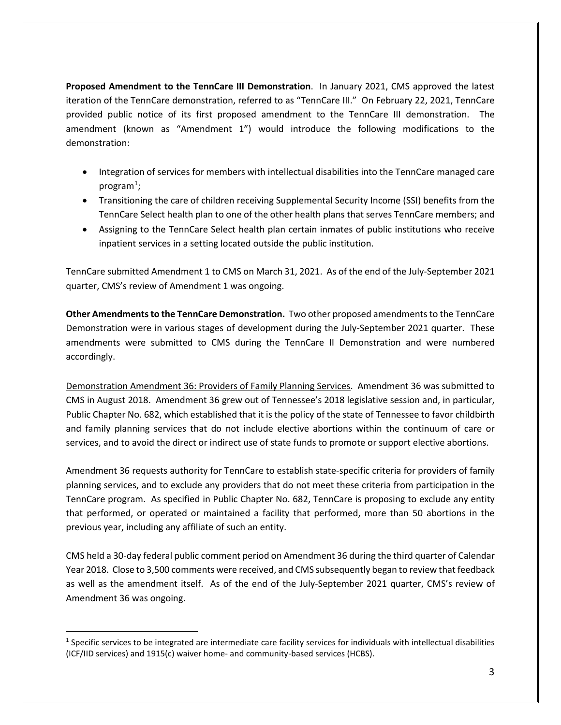**Proposed Amendment to the TennCare III Demonstration**. In January 2021, CMS approved the latest iteration of the TennCare demonstration, referred to as "TennCare III." On February 22, 2021, TennCare provided public notice of its first proposed amendment to the TennCare III demonstration. The amendment (known as "Amendment 1") would introduce the following modifications to the demonstration:

- Integration of services for members with intellectual disabilities into the TennCare managed care program $^1$  $^1$ ;
- Transitioning the care of children receiving Supplemental Security Income (SSI) benefits from the TennCare Select health plan to one of the other health plans that serves TennCare members; and
- Assigning to the TennCare Select health plan certain inmates of public institutions who receive inpatient services in a setting located outside the public institution.

TennCare submitted Amendment 1 to CMS on March 31, 2021. As of the end of the July-September 2021 quarter, CMS's review of Amendment 1 was ongoing.

**Other Amendments to the TennCare Demonstration.** Two other proposed amendments to the TennCare Demonstration were in various stages of development during the July-September 2021 quarter. These amendments were submitted to CMS during the TennCare II Demonstration and were numbered accordingly.

Demonstration Amendment 36: Providers of Family Planning Services. Amendment 36 was submitted to CMS in August 2018. Amendment 36 grew out of Tennessee's 2018 legislative session and, in particular, Public Chapter No. 682, which established that it is the policy of the state of Tennessee to favor childbirth and family planning services that do not include elective abortions within the continuum of care or services, and to avoid the direct or indirect use of state funds to promote or support elective abortions.

Amendment 36 requests authority for TennCare to establish state-specific criteria for providers of family planning services, and to exclude any providers that do not meet these criteria from participation in the TennCare program. As specified in Public Chapter No. 682, TennCare is proposing to exclude any entity that performed, or operated or maintained a facility that performed, more than 50 abortions in the previous year, including any affiliate of such an entity.

CMS held a 30-day federal public comment period on Amendment 36 during the third quarter of Calendar Year 2018. Close to 3,500 comments were received, and CMS subsequently began to review that feedback as well as the amendment itself. As of the end of the July-September 2021 quarter, CMS's review of Amendment 36 was ongoing.

<span id="page-2-0"></span><sup>&</sup>lt;sup>1</sup> Specific services to be integrated are intermediate care facility services for individuals with intellectual disabilities (ICF/IID services) and 1915(c) waiver home- and community-based services (HCBS).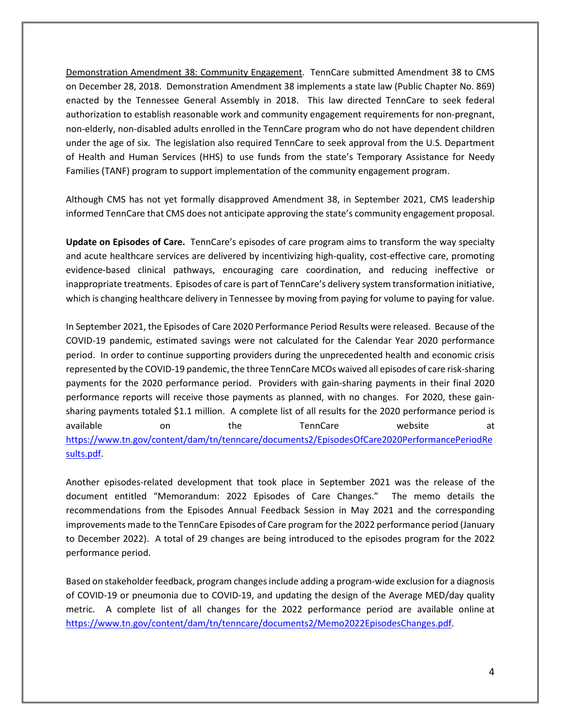Demonstration Amendment 38: Community Engagement. TennCare submitted Amendment 38 to CMS on December 28, 2018. Demonstration Amendment 38 implements a state law (Public Chapter No. 869) enacted by the Tennessee General Assembly in 2018. This law directed TennCare to seek federal authorization to establish reasonable work and community engagement requirements for non-pregnant, non-elderly, non-disabled adults enrolled in the TennCare program who do not have dependent children under the age of six. The legislation also required TennCare to seek approval from the U.S. Department of Health and Human Services (HHS) to use funds from the state's Temporary Assistance for Needy Families (TANF) program to support implementation of the community engagement program.

Although CMS has not yet formally disapproved Amendment 38, in September 2021, CMS leadership informed TennCare that CMS does not anticipate approving the state's community engagement proposal.

**Update on Episodes of Care.** TennCare's episodes of care program aims to transform the way specialty and acute healthcare services are delivered by incentivizing high-quality, cost-effective care, promoting evidence-based clinical pathways, encouraging care coordination, and reducing ineffective or inappropriate treatments. Episodes of care is part of TennCare's delivery system transformation initiative, which is changing healthcare delivery in Tennessee by moving from paying for volume to paying for value.

In September 2021, the Episodes of Care 2020 Performance Period Results were released. Because of the COVID-19 pandemic, estimated savings were not calculated for the Calendar Year 2020 performance period. In order to continue supporting providers during the unprecedented health and economic crisis represented by the COVID-19 pandemic, the three TennCare MCOs waived all episodes of care risk-sharing payments for the 2020 performance period. Providers with gain-sharing payments in their final 2020 performance reports will receive those payments as planned, with no changes. For 2020, these gainsharing payments totaled \$1.1 million. A complete list of all results for the 2020 performance period is available on the TennCare website at [https://www.tn.gov/content/dam/tn/tenncare/documents2/EpisodesOfCare2020PerformancePeriodRe](https://www.tn.gov/content/dam/tn/tenncare/documents2/EpisodesOfCare2020PerformancePeriodResults.pdf) [sults.pdf.](https://www.tn.gov/content/dam/tn/tenncare/documents2/EpisodesOfCare2020PerformancePeriodResults.pdf)

Another episodes-related development that took place in September 2021 was the release of the document entitled "Memorandum: 2022 Episodes of Care Changes." The memo details the recommendations from the Episodes Annual Feedback Session in May 2021 and the corresponding improvements made to the TennCare Episodes of Care program for the 2022 performance period (January to December 2022). A total of 29 changes are being introduced to the episodes program for the 2022 performance period.

Based on stakeholder feedback, program changes include adding a program-wide exclusion for a diagnosis of COVID-19 or pneumonia due to COVID-19, and updating the design of the Average MED/day quality metric. A complete list of all changes for the 2022 performance period are available online [at](https://urldefense.com/v3/__https:/www.us10.list-manage.com/track/click?u=f8bf3dd2f2987e98a7db12c8f&id=f8460b6e97&e=9c4adbed93__;!!PRtDf9A!8F83hbvx9MDPkS3aDFG8u2nnkmeBoh_oXgrOMlgmqX5_togXCsFhW1_p40c4e9oVcQ$) [https://www.tn.gov/content/dam/tn/tenncare/documents2/Memo2022EpisodesChanges.pdf.](https://www.tn.gov/content/dam/tn/tenncare/documents2/Memo2022EpisodesChanges.pdf)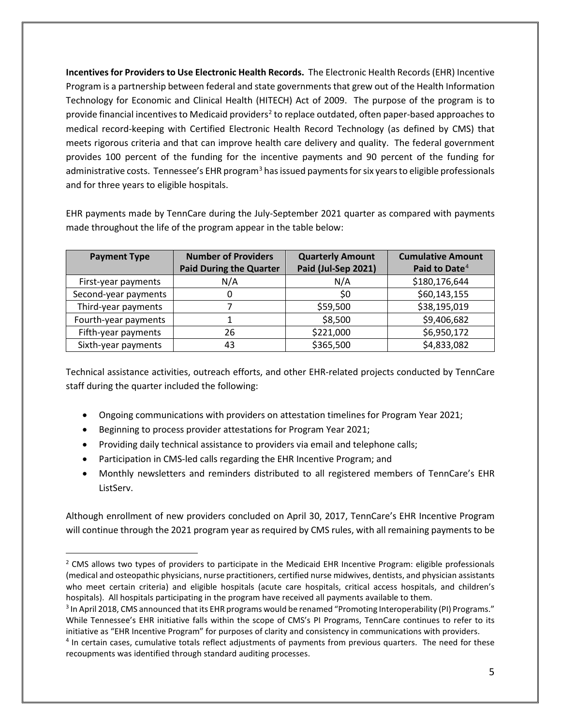**Incentives for Providers to Use Electronic Health Records.** The Electronic Health Records (EHR) Incentive Program is a partnership between federal and state governments that grew out of the Health Information Technology for Economic and Clinical Health (HITECH) Act of 2009. The purpose of the program is to provide financial incentives to Medicaid providers<sup>2</sup> to replace outdated, often paper-based approaches to medical record-keeping with Certified Electronic Health Record Technology (as defined by CMS) that meets rigorous criteria and that can improve health care delivery and quality. The federal government provides 100 percent of the funding for the incentive payments and 90 percent of the funding for administrative costs. Tennessee's EHR program<sup>[3](#page-4-1)</sup> has issued payments for six years to eligible professionals and for three years to eligible hospitals.

EHR payments made by TennCare during the July-September 2021 quarter as compared with payments made throughout the life of the program appear in the table below:

| <b>Payment Type</b>  | <b>Number of Providers</b>     | <b>Quarterly Amount</b> | <b>Cumulative Amount</b>  |
|----------------------|--------------------------------|-------------------------|---------------------------|
|                      | <b>Paid During the Quarter</b> | Paid (Jul-Sep 2021)     | Paid to Date <sup>4</sup> |
| First-year payments  | N/A                            | N/A                     | \$180,176,644             |
| Second-year payments | 0                              | \$0                     | \$60,143,155              |
| Third-year payments  |                                | \$59,500                | \$38,195,019              |
| Fourth-year payments |                                | \$8,500                 | \$9,406,682               |
| Fifth-year payments  | 26                             | \$221,000               | \$6,950,172               |
| Sixth-year payments  | 43                             | \$365,500               | \$4,833,082               |

Technical assistance activities, outreach efforts, and other EHR-related projects conducted by TennCare staff during the quarter included the following:

- Ongoing communications with providers on attestation timelines for Program Year 2021;
- Beginning to process provider attestations for Program Year 2021;
- Providing daily technical assistance to providers via email and telephone calls;
- Participation in CMS-led calls regarding the EHR Incentive Program; and
- Monthly newsletters and reminders distributed to all registered members of TennCare's EHR ListServ.

Although enrollment of new providers concluded on April 30, 2017, TennCare's EHR Incentive Program will continue through the 2021 program year as required by CMS rules, with all remaining payments to be

<span id="page-4-0"></span><sup>&</sup>lt;sup>2</sup> CMS allows two types of providers to participate in the Medicaid EHR Incentive Program: eligible professionals (medical and osteopathic physicians, nurse practitioners, certified nurse midwives, dentists, and physician assistants who meet certain criteria) and eligible hospitals (acute care hospitals, critical access hospitals, and children's hospitals). All hospitals participating in the program have received all payments available to them.

<span id="page-4-1"></span><sup>&</sup>lt;sup>3</sup> In April 2018, CMS announced that its EHR programs would be renamed "Promoting Interoperability (PI) Programs." While Tennessee's EHR initiative falls within the scope of CMS's PI Programs, TennCare continues to refer to its initiative as "EHR Incentive Program" for purposes of clarity and consistency in communications with providers.

<span id="page-4-2"></span><sup>4</sup> In certain cases, cumulative totals reflect adjustments of payments from previous quarters. The need for these recoupments was identified through standard auditing processes.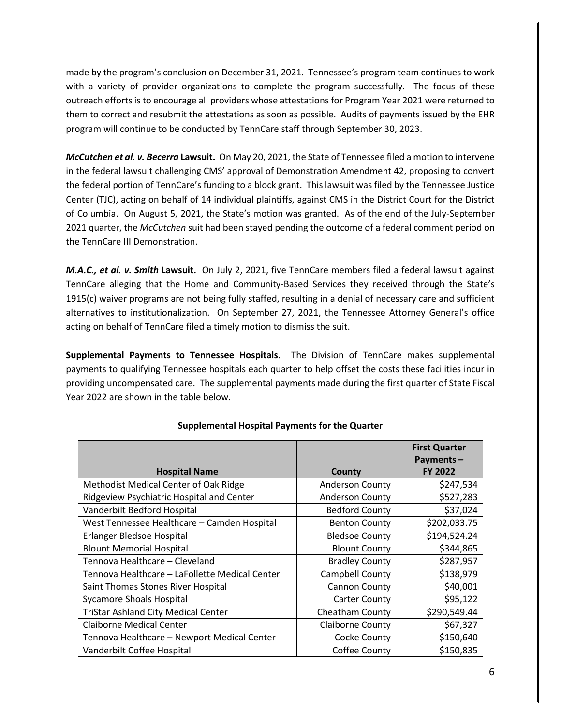made by the program's conclusion on December 31, 2021. Tennessee's program team continues to work with a variety of provider organizations to complete the program successfully. The focus of these outreach efforts is to encourage all providers whose attestations for Program Year 2021 were returned to them to correct and resubmit the attestations as soon as possible. Audits of payments issued by the EHR program will continue to be conducted by TennCare staff through September 30, 2023.

*McCutchen et al. v. Becerra* **Lawsuit.** On May 20, 2021, the State of Tennessee filed a motion to intervene in the federal lawsuit challenging CMS' approval of Demonstration Amendment 42, proposing to convert the federal portion of TennCare's funding to a block grant. This lawsuit was filed by the Tennessee Justice Center (TJC), acting on behalf of 14 individual plaintiffs, against CMS in the District Court for the District of Columbia. On August 5, 2021, the State's motion was granted. As of the end of the July-September 2021 quarter, the *McCutchen* suit had been stayed pending the outcome of a federal comment period on the TennCare III Demonstration.

*M.A.C., et al. v. Smith* **Lawsuit.** On July 2, 2021, five TennCare members filed a federal lawsuit against TennCare alleging that the Home and Community-Based Services they received through the State's 1915(c) waiver programs are not being fully staffed, resulting in a denial of necessary care and sufficient alternatives to institutionalization. On September 27, 2021, the Tennessee Attorney General's office acting on behalf of TennCare filed a timely motion to dismiss the suit.

**Supplemental Payments to Tennessee Hospitals.** The Division of TennCare makes supplemental payments to qualifying Tennessee hospitals each quarter to help offset the costs these facilities incur in providing uncompensated care. The supplemental payments made during the first quarter of State Fiscal Year 2022 are shown in the table below.

|                                                |                         | <b>First Quarter</b> |
|------------------------------------------------|-------------------------|----------------------|
|                                                |                         | Payments-            |
| <b>Hospital Name</b>                           | County                  | <b>FY 2022</b>       |
| Methodist Medical Center of Oak Ridge          | <b>Anderson County</b>  | \$247,534            |
| Ridgeview Psychiatric Hospital and Center      | <b>Anderson County</b>  | \$527,283            |
| Vanderbilt Bedford Hospital                    | <b>Bedford County</b>   | \$37,024             |
| West Tennessee Healthcare - Camden Hospital    | <b>Benton County</b>    | \$202,033.75         |
| Erlanger Bledsoe Hospital                      | <b>Bledsoe County</b>   | \$194,524.24         |
| <b>Blount Memorial Hospital</b>                | <b>Blount County</b>    | \$344,865            |
| Tennova Healthcare - Cleveland                 | <b>Bradley County</b>   | \$287,957            |
| Tennova Healthcare - LaFollette Medical Center | Campbell County         | \$138,979            |
| Saint Thomas Stones River Hospital             | Cannon County           | \$40,001             |
| <b>Sycamore Shoals Hospital</b>                | Carter County           | \$95,122             |
| <b>TriStar Ashland City Medical Center</b>     | Cheatham County         | \$290,549.44         |
| <b>Claiborne Medical Center</b>                | <b>Claiborne County</b> | \$67,327             |
| Tennova Healthcare - Newport Medical Center    | Cocke County            | \$150,640            |
| Vanderbilt Coffee Hospital                     | Coffee County           | \$150,835            |

#### **Supplemental Hospital Payments for the Quarter**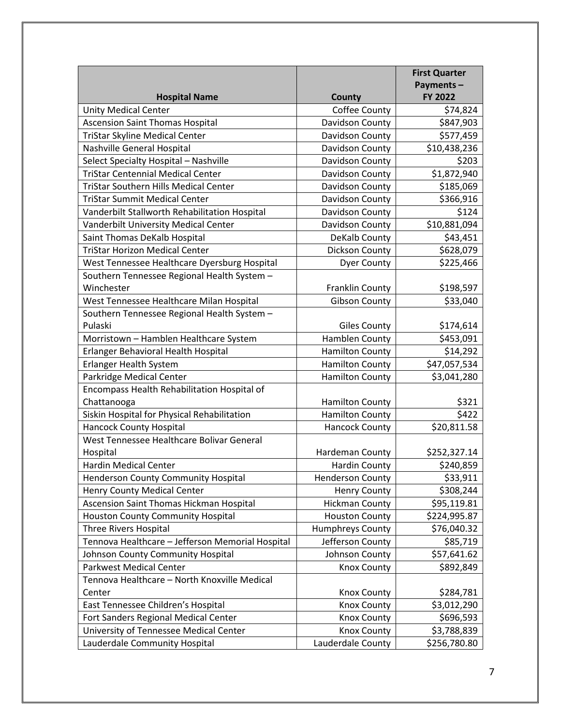|                                                  |                         | <b>First Quarter</b> |
|--------------------------------------------------|-------------------------|----------------------|
|                                                  |                         | Payments-            |
| <b>Hospital Name</b>                             | County                  | FY 2022              |
| <b>Unity Medical Center</b>                      | Coffee County           | \$74,824             |
| <b>Ascension Saint Thomas Hospital</b>           | Davidson County         | \$847,903            |
| TriStar Skyline Medical Center                   | Davidson County         | \$577,459            |
| Nashville General Hospital                       | Davidson County         | \$10,438,236         |
| Select Specialty Hospital - Nashville            | Davidson County         | \$203                |
| <b>TriStar Centennial Medical Center</b>         | Davidson County         | \$1,872,940          |
| <b>TriStar Southern Hills Medical Center</b>     | Davidson County         | \$185,069            |
| <b>TriStar Summit Medical Center</b>             | Davidson County         | \$366,916            |
| Vanderbilt Stallworth Rehabilitation Hospital    | Davidson County         | \$124                |
| Vanderbilt University Medical Center             | Davidson County         | \$10,881,094         |
| Saint Thomas DeKalb Hospital                     | DeKalb County           | \$43,451             |
| <b>TriStar Horizon Medical Center</b>            | Dickson County          | \$628,079            |
| West Tennessee Healthcare Dyersburg Hospital     | <b>Dyer County</b>      | \$225,466            |
| Southern Tennessee Regional Health System -      |                         |                      |
| Winchester                                       | <b>Franklin County</b>  | \$198,597            |
| West Tennessee Healthcare Milan Hospital         | <b>Gibson County</b>    | \$33,040             |
| Southern Tennessee Regional Health System -      |                         |                      |
| Pulaski                                          | <b>Giles County</b>     | \$174,614            |
| Morristown - Hamblen Healthcare System           | Hamblen County          | \$453,091            |
| Erlanger Behavioral Health Hospital              | <b>Hamilton County</b>  | \$14,292             |
| Erlanger Health System                           | <b>Hamilton County</b>  | \$47,057,534         |
| Parkridge Medical Center                         | <b>Hamilton County</b>  | \$3,041,280          |
| Encompass Health Rehabilitation Hospital of      |                         |                      |
| Chattanooga                                      | <b>Hamilton County</b>  | \$321                |
| Siskin Hospital for Physical Rehabilitation      | <b>Hamilton County</b>  | \$422                |
| <b>Hancock County Hospital</b>                   | <b>Hancock County</b>   | \$20,811.58          |
| West Tennessee Healthcare Bolivar General        |                         |                      |
| Hospital                                         | Hardeman County         | \$252,327.14         |
| <b>Hardin Medical Center</b>                     | <b>Hardin County</b>    | \$240,859            |
| <b>Henderson County Community Hospital</b>       | <b>Henderson County</b> | \$33,911             |
| Henry County Medical Center                      | <b>Henry County</b>     | \$308,244            |
| Ascension Saint Thomas Hickman Hospital          | <b>Hickman County</b>   | \$95,119.81          |
| <b>Houston County Community Hospital</b>         | <b>Houston County</b>   | \$224,995.87         |
| Three Rivers Hospital                            | <b>Humphreys County</b> | \$76,040.32          |
| Tennova Healthcare - Jefferson Memorial Hospital | Jefferson County        | \$85,719             |
| Johnson County Community Hospital                | Johnson County          | \$57,641.62          |
| <b>Parkwest Medical Center</b>                   | <b>Knox County</b>      | \$892,849            |
| Tennova Healthcare - North Knoxville Medical     |                         |                      |
| Center                                           | <b>Knox County</b>      | \$284,781            |
| East Tennessee Children's Hospital               | Knox County             | \$3,012,290          |
| Fort Sanders Regional Medical Center             | <b>Knox County</b>      | \$696,593            |
| University of Tennessee Medical Center           | Knox County             | \$3,788,839          |
| Lauderdale Community Hospital                    | Lauderdale County       | \$256,780.80         |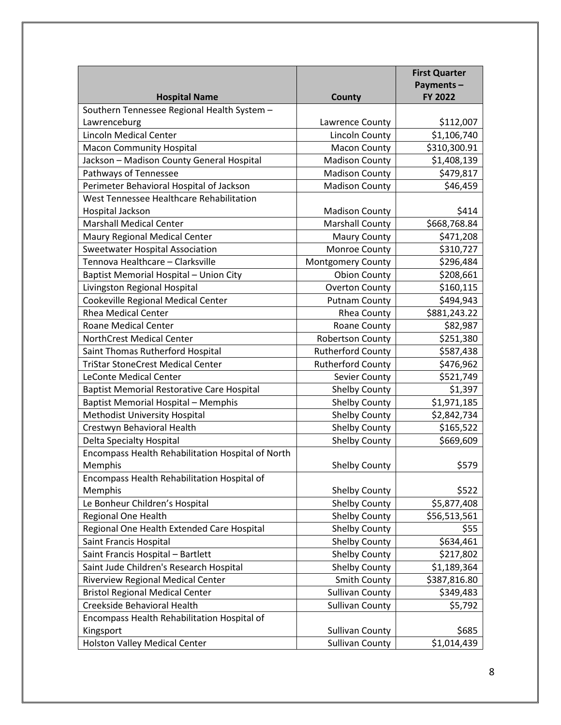|                                                   |                          | <b>First Quarter</b> |
|---------------------------------------------------|--------------------------|----------------------|
|                                                   |                          | Payments-            |
| <b>Hospital Name</b>                              | <b>County</b>            | <b>FY 2022</b>       |
| Southern Tennessee Regional Health System -       |                          |                      |
| Lawrenceburg                                      | Lawrence County          | \$112,007            |
| <b>Lincoln Medical Center</b>                     | Lincoln County           | \$1,106,740          |
| <b>Macon Community Hospital</b>                   | <b>Macon County</b>      | \$310,300.91         |
| Jackson - Madison County General Hospital         | <b>Madison County</b>    | \$1,408,139          |
| Pathways of Tennessee                             | <b>Madison County</b>    | \$479,817            |
| Perimeter Behavioral Hospital of Jackson          | <b>Madison County</b>    | \$46,459             |
| West Tennessee Healthcare Rehabilitation          |                          |                      |
| Hospital Jackson                                  | <b>Madison County</b>    | \$414                |
| <b>Marshall Medical Center</b>                    | <b>Marshall County</b>   | \$668,768.84         |
| Maury Regional Medical Center                     | <b>Maury County</b>      | \$471,208            |
| <b>Sweetwater Hospital Association</b>            | Monroe County            | \$310,727            |
| Tennova Healthcare - Clarksville                  | Montgomery County        | \$296,484            |
| Baptist Memorial Hospital - Union City            | <b>Obion County</b>      | \$208,661            |
| Livingston Regional Hospital                      | <b>Overton County</b>    | \$160,115            |
| Cookeville Regional Medical Center                | <b>Putnam County</b>     | \$494,943            |
| <b>Rhea Medical Center</b>                        | Rhea County              | \$881,243.22         |
| Roane Medical Center                              | Roane County             | \$82,987             |
| <b>NorthCrest Medical Center</b>                  | <b>Robertson County</b>  | \$251,380            |
| Saint Thomas Rutherford Hospital                  | <b>Rutherford County</b> | \$587,438            |
| <b>TriStar StoneCrest Medical Center</b>          | <b>Rutherford County</b> | \$476,962            |
| LeConte Medical Center                            | Sevier County            | \$521,749            |
| <b>Baptist Memorial Restorative Care Hospital</b> | <b>Shelby County</b>     | \$1,397              |
| <b>Baptist Memorial Hospital - Memphis</b>        | <b>Shelby County</b>     | \$1,971,185          |
| Methodist University Hospital                     | <b>Shelby County</b>     | \$2,842,734          |
| Crestwyn Behavioral Health                        | Shelby County            | \$165,522            |
| Delta Specialty Hospital                          | <b>Shelby County</b>     | \$669,609            |
| Encompass Health Rehabilitation Hospital of North |                          |                      |
| Memphis                                           | <b>Shelby County</b>     | \$579                |
| Encompass Health Rehabilitation Hospital of       |                          |                      |
| Memphis                                           | <b>Shelby County</b>     | \$522                |
| Le Bonheur Children's Hospital                    | <b>Shelby County</b>     | \$5,877,408          |
| Regional One Health                               | <b>Shelby County</b>     | \$56,513,561         |
| Regional One Health Extended Care Hospital        | <b>Shelby County</b>     | \$55                 |
| Saint Francis Hospital                            | <b>Shelby County</b>     | \$634,461            |
| Saint Francis Hospital - Bartlett                 | <b>Shelby County</b>     | \$217,802            |
| Saint Jude Children's Research Hospital           | <b>Shelby County</b>     | \$1,189,364          |
| Riverview Regional Medical Center                 | <b>Smith County</b>      | \$387,816.80         |
| <b>Bristol Regional Medical Center</b>            | <b>Sullivan County</b>   | \$349,483            |
| Creekside Behavioral Health                       | <b>Sullivan County</b>   | \$5,792              |
| Encompass Health Rehabilitation Hospital of       |                          |                      |
| Kingsport                                         | <b>Sullivan County</b>   | \$685                |
| <b>Holston Valley Medical Center</b>              | <b>Sullivan County</b>   | \$1,014,439          |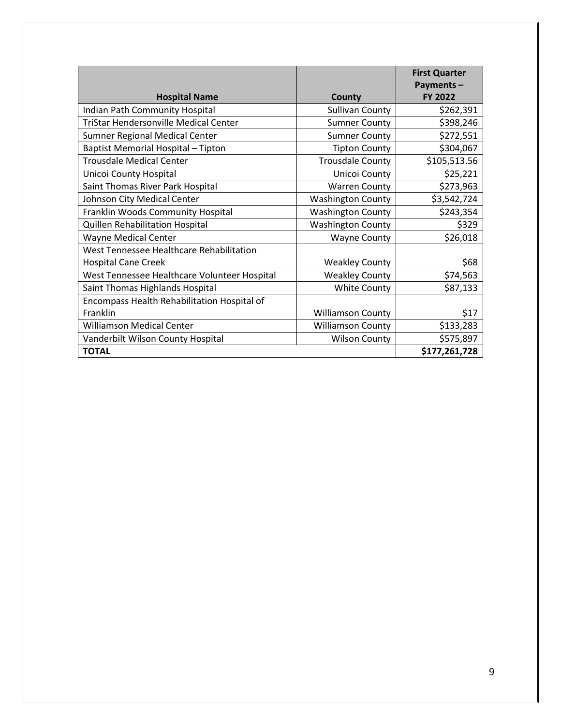|                                              |                          | <b>First Quarter</b><br>Payments- |
|----------------------------------------------|--------------------------|-----------------------------------|
| <b>Hospital Name</b>                         | County                   | <b>FY 2022</b>                    |
| Indian Path Community Hospital               | <b>Sullivan County</b>   | \$262,391                         |
| <b>TriStar Hendersonville Medical Center</b> | <b>Sumner County</b>     | \$398,246                         |
| Sumner Regional Medical Center               | <b>Sumner County</b>     | \$272,551                         |
| Baptist Memorial Hospital - Tipton           | <b>Tipton County</b>     | \$304,067                         |
| <b>Trousdale Medical Center</b>              | <b>Trousdale County</b>  | \$105,513.56                      |
| Unicoi County Hospital                       | Unicoi County            | \$25,221                          |
| Saint Thomas River Park Hospital             | <b>Warren County</b>     | \$273,963                         |
| Johnson City Medical Center                  | <b>Washington County</b> | \$3,542,724                       |
| Franklin Woods Community Hospital            | <b>Washington County</b> | \$243,354                         |
| Quillen Rehabilitation Hospital              | <b>Washington County</b> | \$329                             |
| <b>Wayne Medical Center</b>                  | <b>Wayne County</b>      | \$26,018                          |
| West Tennessee Healthcare Rehabilitation     |                          |                                   |
| <b>Hospital Cane Creek</b>                   | <b>Weakley County</b>    | \$68                              |
| West Tennessee Healthcare Volunteer Hospital | <b>Weakley County</b>    | \$74,563                          |
| Saint Thomas Highlands Hospital              | <b>White County</b>      | \$87,133                          |
| Encompass Health Rehabilitation Hospital of  |                          |                                   |
| Franklin                                     | <b>Williamson County</b> | \$17                              |
| <b>Williamson Medical Center</b>             | <b>Williamson County</b> | \$133,283                         |
| Vanderbilt Wilson County Hospital            | <b>Wilson County</b>     | \$575,897                         |
| <b>TOTAL</b>                                 |                          | \$177,261,728                     |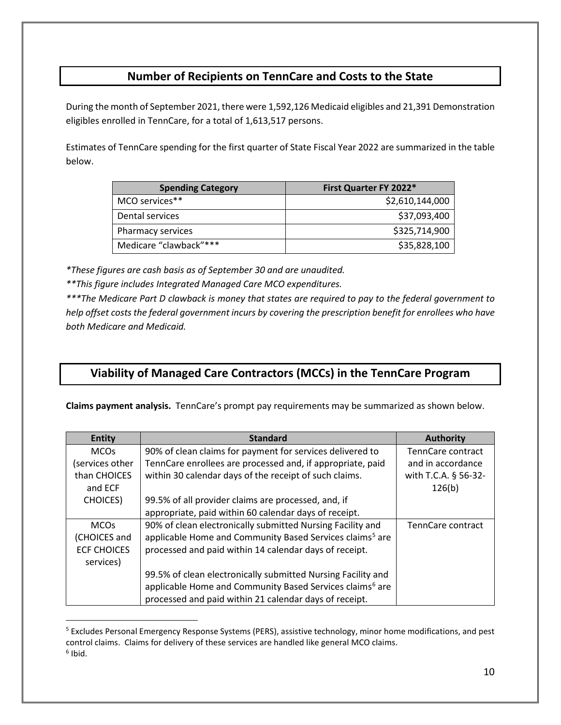## **Number of Recipients on TennCare and Costs to the State**

During the month of September 2021, there were 1,592,126 Medicaid eligibles and 21,391 Demonstration eligibles enrolled in TennCare, for a total of 1,613,517 persons.

Estimates of TennCare spending for the first quarter of State Fiscal Year 2022 are summarized in the table below.

| <b>Spending Category</b> | First Quarter FY 2022* |
|--------------------------|------------------------|
| MCO services**           | \$2,610,144,000        |
| Dental services          | \$37,093,400           |
| Pharmacy services        | \$325,714,900          |
| Medicare "clawback"***   | \$35,828,100           |

*\*These figures are cash basis as of September 30 and are unaudited.*

*\*\*This figure includes Integrated Managed Care MCO expenditures.*

*\*\*\*The Medicare Part D clawback is money that states are required to pay to the federal government to help offset costs the federal government incurs by covering the prescription benefit for enrollees who have both Medicare and Medicaid.*

## **Viability of Managed Care Contractors (MCCs) in the TennCare Program**

**Claims payment analysis.** TennCare's prompt pay requirements may be summarized as shown below.

| <b>Entity</b>      | <b>Standard</b>                                                      | <b>Authority</b>     |
|--------------------|----------------------------------------------------------------------|----------------------|
| <b>MCOs</b>        | 90% of clean claims for payment for services delivered to            | TennCare contract    |
| services other     | TennCare enrollees are processed and, if appropriate, paid           | and in accordance    |
| than CHOICES       | within 30 calendar days of the receipt of such claims.               | with T.C.A. § 56-32- |
| and ECF            |                                                                      | 126(b)               |
| <b>CHOICES</b> )   | 99.5% of all provider claims are processed, and, if                  |                      |
|                    | appropriate, paid within 60 calendar days of receipt.                |                      |
| <b>MCOs</b>        | 90% of clean electronically submitted Nursing Facility and           | TennCare contract    |
| (CHOICES and       | applicable Home and Community Based Services claims <sup>5</sup> are |                      |
| <b>ECF CHOICES</b> | processed and paid within 14 calendar days of receipt.               |                      |
| services)          |                                                                      |                      |
|                    | 99.5% of clean electronically submitted Nursing Facility and         |                      |
|                    | applicable Home and Community Based Services claims <sup>6</sup> are |                      |
|                    | processed and paid within 21 calendar days of receipt.               |                      |

<span id="page-9-1"></span><span id="page-9-0"></span><sup>5</sup> Excludes Personal Emergency Response Systems (PERS), assistive technology, minor home modifications, and pest control claims. Claims for delivery of these services are handled like general MCO claims.  $6$  Ibid.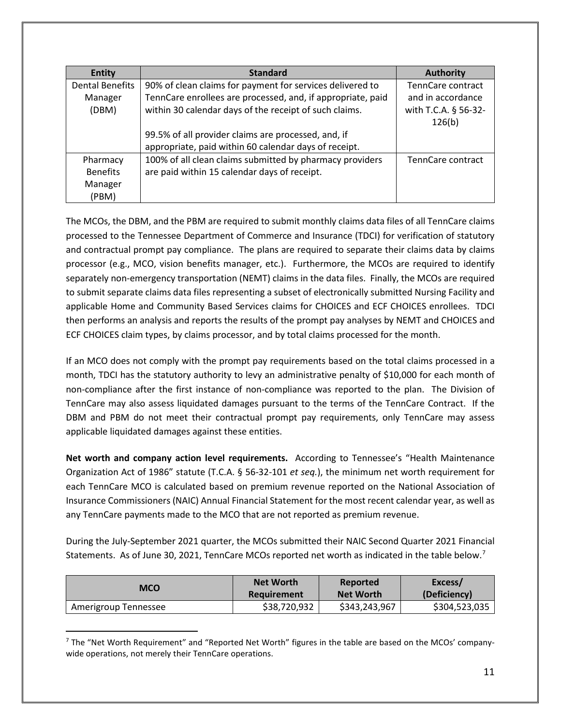| <b>Entity</b>          | <b>Standard</b>                                             | <b>Authority</b>     |
|------------------------|-------------------------------------------------------------|----------------------|
| <b>Dental Benefits</b> | 90% of clean claims for payment for services delivered to   | TennCare contract    |
| Manager                | TennCare enrollees are processed, and, if appropriate, paid | and in accordance    |
| (DBM)                  | within 30 calendar days of the receipt of such claims.      | with T.C.A. § 56-32- |
|                        |                                                             | 126(b)               |
|                        | 99.5% of all provider claims are processed, and, if         |                      |
|                        | appropriate, paid within 60 calendar days of receipt.       |                      |
| Pharmacy               | 100% of all clean claims submitted by pharmacy providers    | TennCare contract    |
| <b>Benefits</b>        | are paid within 15 calendar days of receipt.                |                      |
| Manager                |                                                             |                      |
| (PBM)                  |                                                             |                      |

The MCOs, the DBM, and the PBM are required to submit monthly claims data files of all TennCare claims processed to the Tennessee Department of Commerce and Insurance (TDCI) for verification of statutory and contractual prompt pay compliance. The plans are required to separate their claims data by claims processor (e.g., MCO, vision benefits manager, etc.). Furthermore, the MCOs are required to identify separately non-emergency transportation (NEMT) claims in the data files. Finally, the MCOs are required to submit separate claims data files representing a subset of electronically submitted Nursing Facility and applicable Home and Community Based Services claims for CHOICES and ECF CHOICES enrollees. TDCI then performs an analysis and reports the results of the prompt pay analyses by NEMT and CHOICES and ECF CHOICES claim types, by claims processor, and by total claims processed for the month.

If an MCO does not comply with the prompt pay requirements based on the total claims processed in a month, TDCI has the statutory authority to levy an administrative penalty of \$10,000 for each month of non-compliance after the first instance of non-compliance was reported to the plan. The Division of TennCare may also assess liquidated damages pursuant to the terms of the TennCare Contract. If the DBM and PBM do not meet their contractual prompt pay requirements, only TennCare may assess applicable liquidated damages against these entities.

**Net worth and company action level requirements.** According to Tennessee's "Health Maintenance Organization Act of 1986" statute (T.C.A. § 56-32-101 *et seq.*), the minimum net worth requirement for each TennCare MCO is calculated based on premium revenue reported on the National Association of Insurance Commissioners (NAIC) Annual Financial Statement for the most recent calendar year, as well as any TennCare payments made to the MCO that are not reported as premium revenue.

During the July-September 2021 quarter, the MCOs submitted their NAIC Second Quarter 2021 Financial Statements. As of June 30, 2021, TennCare MCOs reported net worth as indicated in the table below.<sup>[7](#page-10-0)</sup>

| <b>MCO</b>           | <b>Net Worth</b> | Reported         | Excess/       |
|----------------------|------------------|------------------|---------------|
|                      | Requirement      | <b>Net Worth</b> | (Deficiency)  |
| Amerigroup Tennessee | \$38,720,932     | \$343,243,967    | \$304,523,035 |

<span id="page-10-0"></span> $<sup>7</sup>$  The "Net Worth Requirement" and "Reported Net Worth" figures in the table are based on the MCOs' company-</sup> wide operations, not merely their TennCare operations.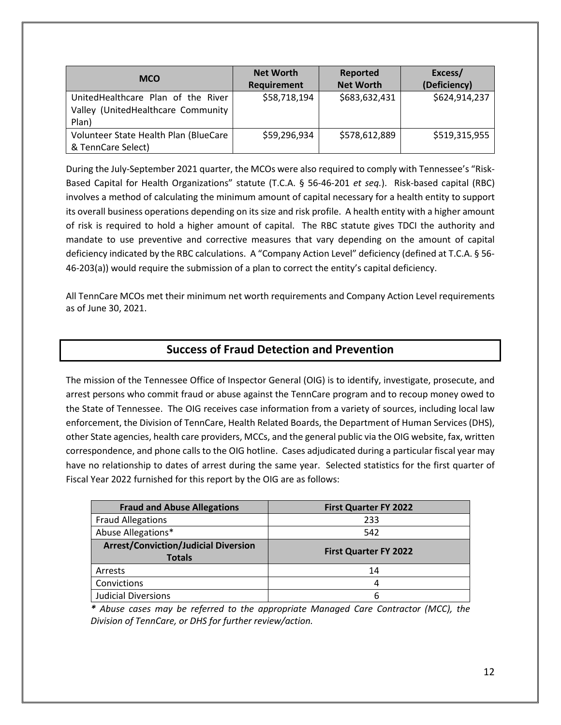| <b>MCO</b>                            | <b>Net Worth</b>   | Reported         | Excess/       |
|---------------------------------------|--------------------|------------------|---------------|
|                                       | <b>Requirement</b> | <b>Net Worth</b> | (Deficiency)  |
| UnitedHealthcare Plan of the River    | \$58,718,194       | \$683,632,431    | \$624,914,237 |
| Valley (UnitedHealthcare Community    |                    |                  |               |
| Plan)                                 |                    |                  |               |
| Volunteer State Health Plan (BlueCare | \$59,296,934       | \$578,612,889    | \$519,315,955 |
| & TennCare Select)                    |                    |                  |               |

During the July-September 2021 quarter, the MCOs were also required to comply with Tennessee's "Risk-Based Capital for Health Organizations" statute (T.C.A. § 56-46-201 *et seq.*). Risk-based capital (RBC) involves a method of calculating the minimum amount of capital necessary for a health entity to support its overall business operations depending on its size and risk profile. A health entity with a higher amount of risk is required to hold a higher amount of capital. The RBC statute gives TDCI the authority and mandate to use preventive and corrective measures that vary depending on the amount of capital deficiency indicated by the RBC calculations. A "Company Action Level" deficiency (defined at T.C.A. § 56- 46-203(a)) would require the submission of a plan to correct the entity's capital deficiency.

All TennCare MCOs met their minimum net worth requirements and Company Action Level requirements as of June 30, 2021.

## **Success of Fraud Detection and Prevention**

The mission of the Tennessee Office of Inspector General (OIG) is to identify, investigate, prosecute, and arrest persons who commit fraud or abuse against the TennCare program and to recoup money owed to the State of Tennessee.The OIG receives case information from a variety of sources, including local law enforcement, the Division of TennCare, Health Related Boards, the Department of Human Services (DHS), other State agencies, health care providers, MCCs, and the general public via the OIG website, fax, written correspondence, and phone calls to the OIG hotline. Cases adjudicated during a particular fiscal year may have no relationship to dates of arrest during the same year. Selected statistics for the first quarter of Fiscal Year 2022 furnished for this report by the OIG are as follows:

| <b>Fraud and Abuse Allegations</b>                           | <b>First Quarter FY 2022</b> |
|--------------------------------------------------------------|------------------------------|
| <b>Fraud Allegations</b>                                     | 233                          |
| Abuse Allegations*                                           | 542                          |
| <b>Arrest/Conviction/Judicial Diversion</b><br><b>Totals</b> | <b>First Quarter FY 2022</b> |
| Arrests                                                      | 14                           |
|                                                              |                              |
| Convictions                                                  | 4                            |

*\* Abuse cases may be referred to the appropriate Managed Care Contractor (MCC), the Division of TennCare, or DHS for further review/action.*